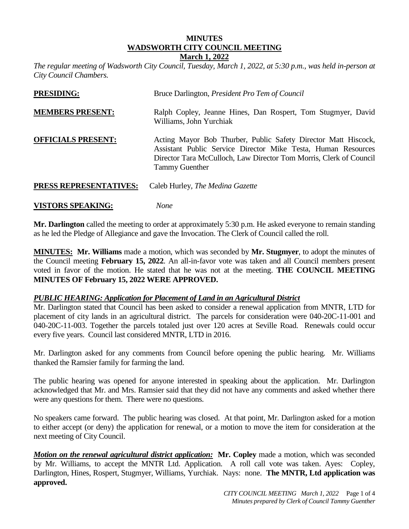#### **MINUTES WADSWORTH CITY COUNCIL MEETING March 1, 2022**

*The regular meeting of Wadsworth City Council, Tuesday, March 1, 2022, at 5:30 p.m., was held in-person at City Council Chambers.* 

| <b>PRESIDING:</b>         | Bruce Darlington, <i>President Pro Tem of Council</i>                                                                                                                                                                          |
|---------------------------|--------------------------------------------------------------------------------------------------------------------------------------------------------------------------------------------------------------------------------|
| <b>MEMBERS PRESENT:</b>   | Ralph Copley, Jeanne Hines, Dan Rospert, Tom Stugmyer, David<br>Williams, John Yurchiak                                                                                                                                        |
| <b>OFFICIALS PRESENT:</b> | Acting Mayor Bob Thurber, Public Safety Director Matt Hiscock,<br>Assistant Public Service Director Mike Testa, Human Resources<br>Director Tara McCulloch, Law Director Tom Morris, Clerk of Council<br><b>Tammy Guenther</b> |
| PRESS REPRESENTATIVES:    | Caleb Hurley, <i>The Medina Gazette</i>                                                                                                                                                                                        |

#### **VISTORS SPEAKING:** *None*

**Mr. Darlington** called the meeting to order at approximately 5:30 p.m. He asked everyone to remain standing as he led the Pledge of Allegiance and gave the Invocation. The Clerk of Council called the roll.

**MINUTES: Mr. Williams** made a motion, which was seconded by **Mr. Stugmyer**, to adopt the minutes of the Council meeting **February 15, 2022**. An all-in-favor vote was taken and all Council members present voted in favor of the motion. He stated that he was not at the meeting. **THE COUNCIL MEETING MINUTES OF February 15, 2022 WERE APPROVED.**

## *PUBLIC HEARING: Application for Placement of Land in an Agricultural District*

Mr. Darlington stated that Council has been asked to consider a renewal application from MNTR, LTD for placement of city lands in an agricultural district. The parcels for consideration were 040-20C-11-001 and 040-20C-11-003. Together the parcels totaled just over 120 acres at Seville Road. Renewals could occur every five years. Council last considered MNTR, LTD in 2016.

Mr. Darlington asked for any comments from Council before opening the public hearing. Mr. Williams thanked the Ramsier family for farming the land.

The public hearing was opened for anyone interested in speaking about the application. Mr. Darlington acknowledged that Mr. and Mrs. Ramsier said that they did not have any comments and asked whether there were any questions for them. There were no questions.

No speakers came forward. The public hearing was closed. At that point, Mr. Darlington asked for a motion to either accept (or deny) the application for renewal, or a motion to move the item for consideration at the next meeting of City Council.

*Motion on the renewal agricultural district application:* **Mr. Copley** made a motion, which was seconded by Mr. Williams, to accept the MNTR Ltd. Application. A roll call vote was taken. Ayes: Copley, Darlington, Hines, Rospert, Stugmyer, Williams, Yurchiak. Nays: none. **The MNTR, Ltd application was approved.**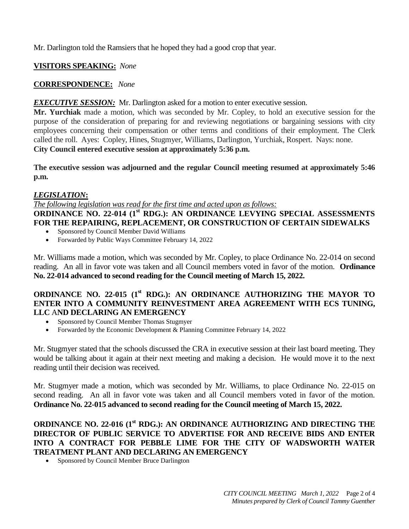Mr. Darlington told the Ramsiers that he hoped they had a good crop that year.

# **VISITORS SPEAKING:** *None*

# **CORRESPONDENCE:** *None*

## *EXECUTIVE SESSION:* Mr. Darlington asked for a motion to enter executive session.

**Mr. Yurchiak** made a motion, which was seconded by Mr. Copley, to hold an executive session for the purpose of the consideration of preparing for and reviewing negotiations or bargaining sessions with city employees concerning their compensation or other terms and conditions of their employment. The Clerk called the roll. Ayes: Copley, Hines, Stugmyer, Williams, Darlington, Yurchiak, Rospert. Nays: none. **City Council entered executive session at approximately 5:36 p.m.**

**The executive session was adjourned and the regular Council meeting resumed at approximately 5:46 p.m.**

## *LEGISLATION***:**

*The following legislation was read for the first time and acted upon as follows:*

## **ORDINANCE NO. 22-014 (1<sup>st</sup> RDG.): AN ORDINANCE LEVYING SPECIAL ASSESSMENTS FOR THE REPAIRING, REPLACEMENT, OR CONSTRUCTION OF CERTAIN SIDEWALKS**

- Sponsored by Council Member David Williams
- Forwarded by Public Ways Committee February 14, 2022

Mr. Williams made a motion, which was seconded by Mr. Copley, to place Ordinance No. 22-014 on second reading. An all in favor vote was taken and all Council members voted in favor of the motion. **Ordinance No. 22-014 advanced to second reading for the Council meeting of March 15, 2022.**

## **ORDINANCE NO. 22-015 (1st RDG.): AN ORDINANCE AUTHORIZING THE MAYOR TO ENTER INTO A COMMUNITY REINVESTMENT AREA AGREEMENT WITH ECS TUNING, LLC** A**ND DECLARING AN EMERGENCY**

- Sponsored by Council Member Thomas Stugmyer
- Forwarded by the Economic Development & Planning Committee February 14, 2022

Mr. Stugmyer stated that the schools discussed the CRA in executive session at their last board meeting. They would be talking about it again at their next meeting and making a decision. He would move it to the next reading until their decision was received.

Mr. Stugmyer made a motion, which was seconded by Mr. Williams, to place Ordinance No. 22-015 on second reading. An all in favor vote was taken and all Council members voted in favor of the motion. **Ordinance No. 22-015 advanced to second reading for the Council meeting of March 15, 2022.**

## **ORDINANCE NO. 22-016 (1st RDG.): AN ORDINANCE AUTHORIZING AND DIRECTING THE DIRECTOR OF PUBLIC SERVICE TO ADVERTISE FOR AND RECEIVE BIDS AND ENTER INTO A CONTRACT FOR PEBBLE LIME FOR THE CITY OF WADSWORTH WATER TREATMENT PLANT AND DECLARING AN EMERGENCY**

• Sponsored by Council Member Bruce Darlington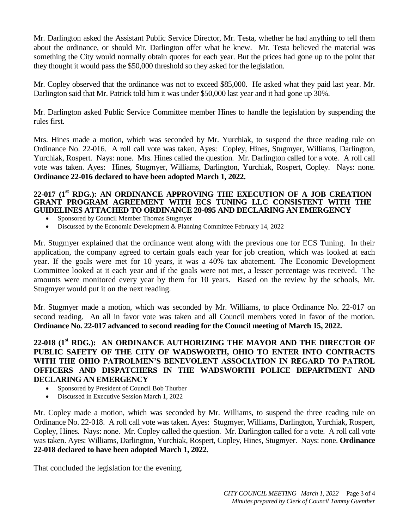Mr. Darlington asked the Assistant Public Service Director, Mr. Testa, whether he had anything to tell them about the ordinance, or should Mr. Darlington offer what he knew. Mr. Testa believed the material was something the City would normally obtain quotes for each year. But the prices had gone up to the point that they thought it would pass the \$50,000 threshold so they asked for the legislation.

Mr. Copley observed that the ordinance was not to exceed \$85,000. He asked what they paid last year. Mr. Darlington said that Mr. Patrick told him it was under \$50,000 last year and it had gone up 30%.

Mr. Darlington asked Public Service Committee member Hines to handle the legislation by suspending the rules first.

Mrs. Hines made a motion, which was seconded by Mr. Yurchiak, to suspend the three reading rule on Ordinance No. 22-016. A roll call vote was taken. Ayes: Copley, Hines, Stugmyer, Williams, Darlington, Yurchiak, Rospert. Nays: none. Mrs. Hines called the question. Mr. Darlington called for a vote. A roll call vote was taken. Ayes: Hines, Stugmyer, Williams, Darlington, Yurchiak, Rospert, Copley. Nays: none. **Ordinance 22-016 declared to have been adopted March 1, 2022.**

#### **22-017 (1st RDG.): AN ORDINANCE APPROVING THE EXECUTION OF A JOB CREATION GRANT PROGRAM AGREEMENT WITH ECS TUNING LLC CONSISTENT WITH THE GUIDELINES ATTACHED TO ORDINANCE 20-095 AND DECLARING AN EMERGENCY**

- Sponsored by Council Member Thomas Stugmyer
- Discussed by the Economic Development & Planning Committee February 14, 2022

Mr. Stugmyer explained that the ordinance went along with the previous one for ECS Tuning. In their application, the company agreed to certain goals each year for job creation, which was looked at each year. If the goals were met for 10 years, it was a 40% tax abatement. The Economic Development Committee looked at it each year and if the goals were not met, a lesser percentage was received. The amounts were monitored every year by them for 10 years. Based on the review by the schools, Mr. Stugmyer would put it on the next reading.

Mr. Stugmyer made a motion, which was seconded by Mr. Williams, to place Ordinance No. 22-017 on second reading. An all in favor vote was taken and all Council members voted in favor of the motion. **Ordinance No. 22-017 advanced to second reading for the Council meeting of March 15, 2022.**

## **22-018 (1st RDG.): AN ORDINANCE AUTHORIZING THE MAYOR AND THE DIRECTOR OF PUBLIC SAFETY OF THE CITY OF WADSWORTH, OHIO TO ENTER INTO CONTRACTS WITH THE OHIO PATROLMEN'S BENEVOLENT ASSOCIATION IN REGARD TO PATROL OFFICERS AND DISPATCHERS IN THE WADSWORTH POLICE DEPARTMENT AND DECLARING AN EMERGENCY**

- Sponsored by President of Council Bob Thurber
- Discussed in Executive Session March 1, 2022

Mr. Copley made a motion, which was seconded by Mr. Williams, to suspend the three reading rule on Ordinance No. 22-018. A roll call vote was taken. Ayes: Stugmyer, Williams, Darlington, Yurchiak, Rospert, Copley, Hines. Nays: none. Mr. Copley called the question. Mr. Darlington called for a vote. A roll call vote was taken. Ayes: Williams, Darlington, Yurchiak, Rospert, Copley, Hines, Stugmyer. Nays: none. **Ordinance 22-018 declared to have been adopted March 1, 2022.**

That concluded the legislation for the evening.